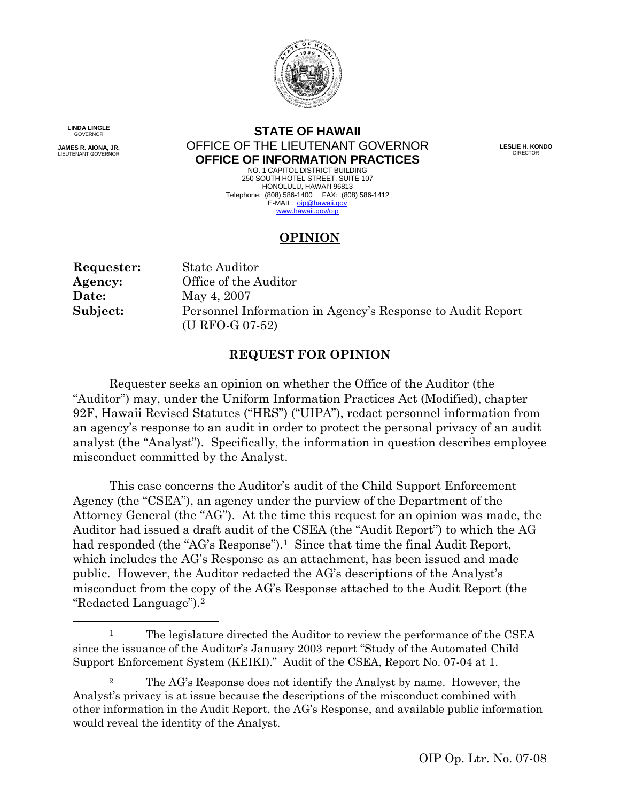

**LINDA LINGLE** 

**JAMES R. AIONA, JR.**<br>LIEUTENANT GOVERNOR

1

## NDA LINGLE<br>GOVERNOR **STATE OF HAWAII JAMES AIRLY READER RANGER RANGER RANGER RANGER RANGER RANGER DIRECTOR DIRECTOR OFFICE OF INFORMATION PRACTICES**

NO. 1 CAPITOL DISTRICT BUILDING NO. 1 CAPITOL DISTRICT BUILDING<br>250 SOUTH HOTEL STREET, SUITE 107 HONOLULU, HAWAI'I 96813 HONOLULU, HAWAI'I 96813<br>Telephone: (808) 586-1400 FAX: (808) 586-1412 E-MAIL: oip@hawaii.gov www.hawaii.gov/oip

# **OPINION**

| Requester: | State Auditor                                              |
|------------|------------------------------------------------------------|
| Agency:    | Office of the Auditor                                      |
| Date:      | May 4, 2007                                                |
| Subject:   | Personnel Information in Agency's Response to Audit Report |
|            | (U RFO-G 07-52)                                            |

## **REQUEST FOR OPINION**

Requester seeks an opinion on whether the Office of the Auditor (the "Auditor") may, under the Uniform Information Practices Act (Modified), chapter 92F, Hawaii Revised Statutes ("HRS") ("UIPA"), redact personnel information from an agency's response to an audit in order to protect the personal privacy of an audit analyst (the "Analyst"). Specifically, the information in question describes employee misconduct committed by the Analyst.

 "Redacted Language").2 This case concerns the Auditor's audit of the Child Support Enforcement Agency (the "CSEA"), an agency under the purview of the Department of the Attorney General (the "AG"). At the time this request for an opinion was made, the Auditor had issued a draft audit of the CSEA (the "Audit Report") to which the AG had responded (the "AG's Response").<sup>1</sup> Since that time the final Audit Report, which includes the AG's Response as an attachment, has been issued and made public. However, the Auditor redacted the AG's descriptions of the Analyst's misconduct from the copy of the AG's Response attached to the Audit Report (the

<sup>&</sup>lt;sup>1</sup> The legislature directed the Auditor to review the performance of the CSEA since the issuance of the Auditor's January 2003 report "Study of the Automated Child Support Enforcement System (KEIKI)." Audit of the CSEA, Report No. 07-04 at 1.

<sup>&</sup>lt;sup>2</sup> The AG's Response does not identify the Analyst by name. However, the Analyst's privacy is at issue because the descriptions of the misconduct combined with other information in the Audit Report, the AG's Response, and available public information would reveal the identity of the Analyst.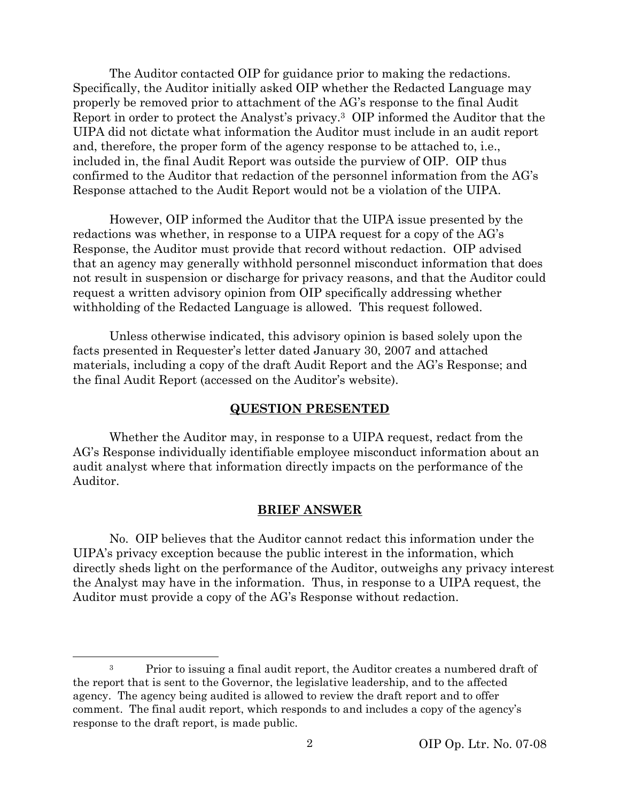The Auditor contacted OIP for guidance prior to making the redactions. Specifically, the Auditor initially asked OIP whether the Redacted Language may properly be removed prior to attachment of the AG's response to the final Audit Report in order to protect the Analyst's privacy.3 OIP informed the Auditor that the UIPA did not dictate what information the Auditor must include in an audit report and, therefore, the proper form of the agency response to be attached to, i.e., included in, the final Audit Report was outside the purview of OIP. OIP thus confirmed to the Auditor that redaction of the personnel information from the AG's Response attached to the Audit Report would not be a violation of the UIPA.

However, OIP informed the Auditor that the UIPA issue presented by the redactions was whether, in response to a UIPA request for a copy of the AG's Response, the Auditor must provide that record without redaction. OIP advised that an agency may generally withhold personnel misconduct information that does not result in suspension or discharge for privacy reasons, and that the Auditor could request a written advisory opinion from OIP specifically addressing whether withholding of the Redacted Language is allowed. This request followed.

Unless otherwise indicated, this advisory opinion is based solely upon the facts presented in Requester's letter dated January 30, 2007 and attached materials, including a copy of the draft Audit Report and the AG's Response; and the final Audit Report (accessed on the Auditor's website).

### **QUESTION PRESENTED**

Whether the Auditor may, in response to a UIPA request, redact from the AG's Response individually identifiable employee misconduct information about an audit analyst where that information directly impacts on the performance of the Auditor.

#### **BRIEF ANSWER**

No. OIP believes that the Auditor cannot redact this information under the UIPA's privacy exception because the public interest in the information, which directly sheds light on the performance of the Auditor, outweighs any privacy interest the Analyst may have in the information. Thus, in response to a UIPA request, the Auditor must provide a copy of the AG's Response without redaction.

 $\overline{a}$ 

<sup>&</sup>lt;sup>3</sup> Prior to issuing a final audit report, the Auditor creates a numbered draft of the report that is sent to the Governor, the legislative leadership, and to the affected agency. The agency being audited is allowed to review the draft report and to offer comment. The final audit report, which responds to and includes a copy of the agency's response to the draft report, is made public.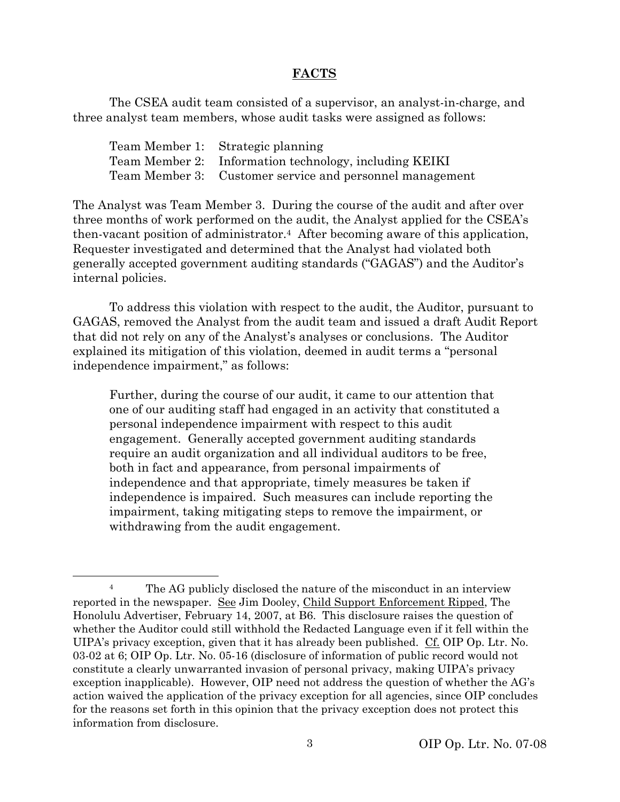### **FACTS**

The CSEA audit team consisted of a supervisor, an analyst-in-charge, and three analyst team members, whose audit tasks were assigned as follows:

| Team Member 1: Strategic planning                        |
|----------------------------------------------------------|
| Team Member 2: Information technology, including KEIKI   |
| Team Member 3: Customer service and personnel management |

The Analyst was Team Member 3. During the course of the audit and after over three months of work performed on the audit, the Analyst applied for the CSEA's then-vacant position of administrator.4 After becoming aware of this application, Requester investigated and determined that the Analyst had violated both generally accepted government auditing standards ("GAGAS") and the Auditor's internal policies.

To address this violation with respect to the audit, the Auditor, pursuant to GAGAS, removed the Analyst from the audit team and issued a draft Audit Report that did not rely on any of the Analyst's analyses or conclusions. The Auditor explained its mitigation of this violation, deemed in audit terms a "personal independence impairment," as follows:

Further, during the course of our audit, it came to our attention that one of our auditing staff had engaged in an activity that constituted a personal independence impairment with respect to this audit engagement. Generally accepted government auditing standards require an audit organization and all individual auditors to be free, both in fact and appearance, from personal impairments of independence and that appropriate, timely measures be taken if independence is impaired. Such measures can include reporting the impairment, taking mitigating steps to remove the impairment, or withdrawing from the audit engagement.

l

<sup>&</sup>lt;sup>4</sup> The AG publicly disclosed the nature of the misconduct in an interview reported in the newspaper. See Jim Dooley, Child Support Enforcement Ripped, The Honolulu Advertiser, February 14, 2007, at B6. This disclosure raises the question of whether the Auditor could still withhold the Redacted Language even if it fell within the UIPA's privacy exception, given that it has already been published. Cf. OIP Op. Ltr. No. 03-02 at 6; OIP Op. Ltr. No. 05-16 (disclosure of information of public record would not constitute a clearly unwarranted invasion of personal privacy, making UIPA's privacy exception inapplicable). However, OIP need not address the question of whether the AG's action waived the application of the privacy exception for all agencies, since OIP concludes for the reasons set forth in this opinion that the privacy exception does not protect this information from disclosure.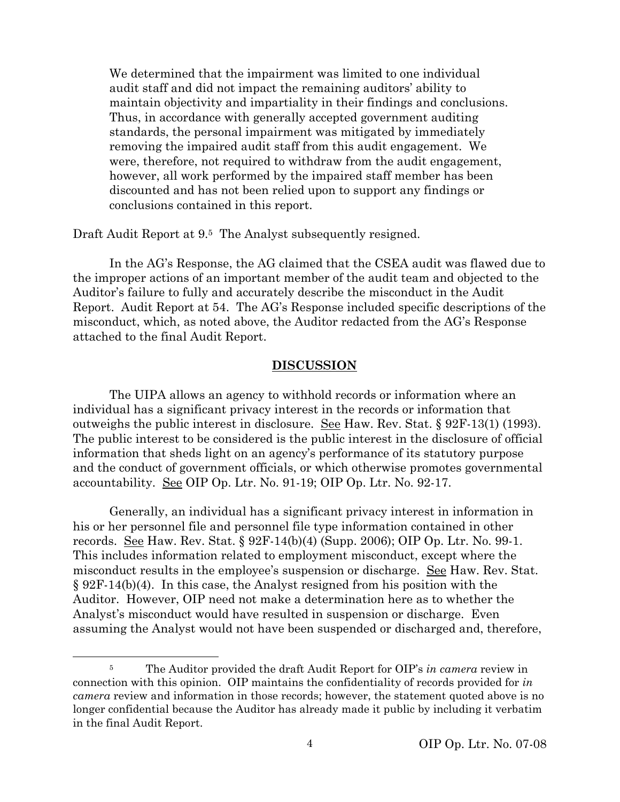We determined that the impairment was limited to one individual audit staff and did not impact the remaining auditors' ability to maintain objectivity and impartiality in their findings and conclusions. Thus, in accordance with generally accepted government auditing standards, the personal impairment was mitigated by immediately removing the impaired audit staff from this audit engagement. We were, therefore, not required to withdraw from the audit engagement, however, all work performed by the impaired staff member has been discounted and has not been relied upon to support any findings or conclusions contained in this report.

Draft Audit Report at 9.<sup>5</sup> The Analyst subsequently resigned.

In the AG's Response, the AG claimed that the CSEA audit was flawed due to the improper actions of an important member of the audit team and objected to the Auditor's failure to fully and accurately describe the misconduct in the Audit Report. Audit Report at 54. The AG's Response included specific descriptions of the misconduct, which, as noted above, the Auditor redacted from the AG's Response attached to the final Audit Report.

#### **DISCUSSION**

The UIPA allows an agency to withhold records or information where an individual has a significant privacy interest in the records or information that outweighs the public interest in disclosure. See Haw. Rev. Stat. § 92F-13(1) (1993). The public interest to be considered is the public interest in the disclosure of official information that sheds light on an agency's performance of its statutory purpose and the conduct of government officials, or which otherwise promotes governmental accountability. See OIP Op. Ltr. No. 91-19; OIP Op. Ltr. No. 92-17.

Generally, an individual has a significant privacy interest in information in his or her personnel file and personnel file type information contained in other records. See Haw. Rev. Stat. § 92F-14(b)(4) (Supp. 2006); OIP Op. Ltr. No. 99-1. This includes information related to employment misconduct, except where the misconduct results in the employee's suspension or discharge. <u>See</u> Haw. Rev. Stat. § 92F-14(b)(4). In this case, the Analyst resigned from his position with the Auditor. However, OIP need not make a determination here as to whether the Analyst's misconduct would have resulted in suspension or discharge. Even assuming the Analyst would not have been suspended or discharged and, therefore,

 $\overline{a}$ 

<sup>5</sup> The Auditor provided the draft Audit Report for OIP's *in camera* review in connection with this opinion. OIP maintains the confidentiality of records provided for *in camera* review and information in those records; however, the statement quoted above is no longer confidential because the Auditor has already made it public by including it verbatim in the final Audit Report.